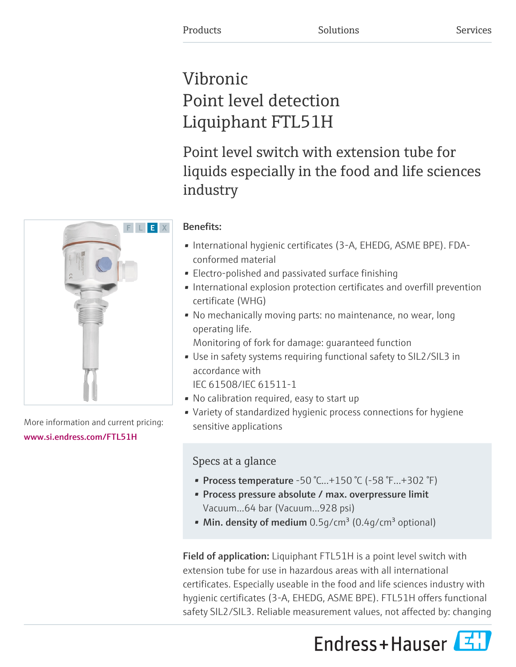# Vibronic Point level detection Liquiphant FTL51H

Point level switch with extension tube for liquids especially in the food and life sciences industry

## Benefits:

- International hygienic certificates (3-A, EHEDG, ASME BPE). FDAconformed material
- Electro-polished and passivated surface finishing
- International explosion protection certificates and overfill prevention certificate (WHG)
- No mechanically moving parts: no maintenance, no wear, long operating life.

Monitoring of fork for damage: guaranteed function

• Use in safety systems requiring functional safety to SIL2/SIL3 in accordance with

IEC 61508/IEC 61511-1

- No calibration required, easy to start up
- Variety of standardized hygienic process connections for hygiene sensitive applications

## Specs at a glance

- Process temperature -50 °C...+150 °C (-58 °F...+302 °F)
- Process pressure absolute / max. overpressure limit Vacuum...64 bar (Vacuum...928 psi)
- Min. density of medium  $0.5g/cm<sup>3</sup> (0.4g/cm<sup>3</sup>$  optional)

Field of application: Liquiphant FTL51H is a point level switch with extension tube for use in hazardous areas with all international certificates. Especially useable in the food and life sciences industry with hygienic certificates (3-A, EHEDG, ASME BPE). FTL51H offers functional safety SIL2/SIL3. Reliable measurement values, not affected by: changing





More information and current pricing: [www.si.endress.com/FTL51H](https://www.si.endress.com/FTL51H)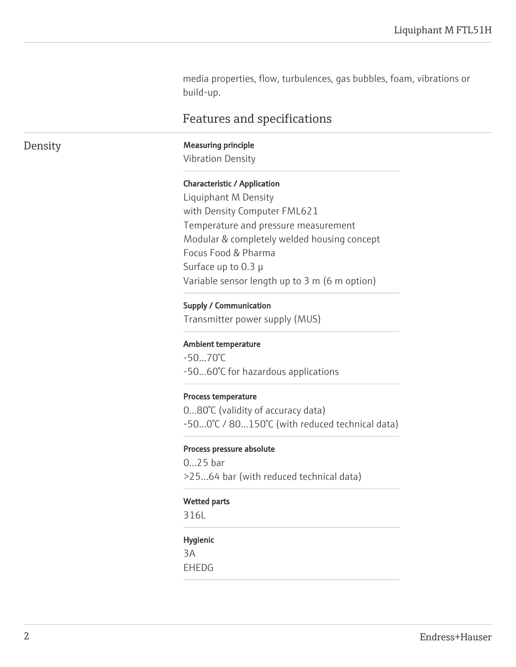media properties, flow, turbulences, gas bubbles, foam, vibrations or build-up.

## Features and specifications

Density Measuring principle

Vibration Density

#### Characteristic / Application

Liquiphant M Density with Density Computer FML621 Temperature and pressure measurement Modular & completely welded housing concept Focus Food & Pharma Surface up to 0.3 µ Variable sensor length up to 3 m (6 m option)

#### Supply / Communication

Transmitter power supply (MUS)

#### Ambient temperature

 $-50...70^{\circ}$ C -50...60°C for hazardous applications

#### Process temperature

0...80°C (validity of accuracy data) -50...0°C / 80...150°C (with reduced technical data)

#### Process pressure absolute

0...25 bar >25...64 bar (with reduced technical data)

#### Wetted parts

316L

#### Hygienic

3A EHEDG

Endress+Hauser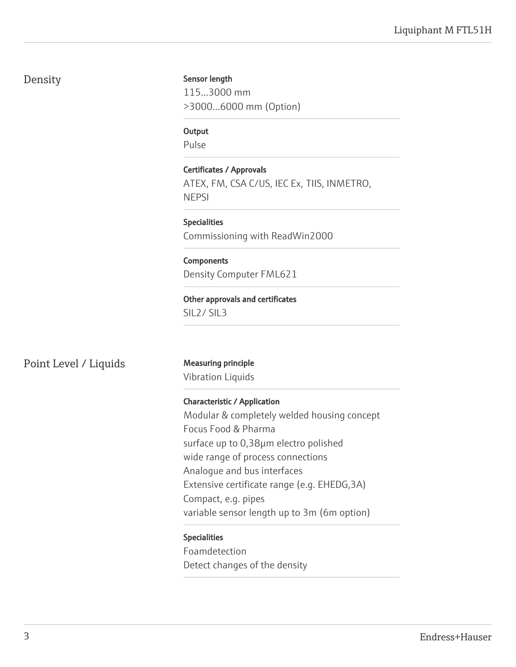## Density

#### Sensor length

115...3000 mm >3000...6000 mm (Option)

**Output** 

Pulse

Certificates / Approvals ATEX, FM, CSA C/US, IEC Ex, TIIS, INMETRO, NEPSI

Specialities Commissioning with ReadWin2000

**Components** Density Computer FML621

Other approvals and certificates SIL2/ SIL3

Point Level / Liquids Measuring principle

Vibration Liquids

Characteristic / Application Modular & completely welded housing concept Focus Food & Pharma surface up to 0,38µm electro polished wide range of process connections Analogue and bus interfaces Extensive certificate range (e.g. EHEDG,3A) Compact, e.g. pipes variable sensor length up to 3m (6m option)

### Specialities

Foamdetection Detect changes of the density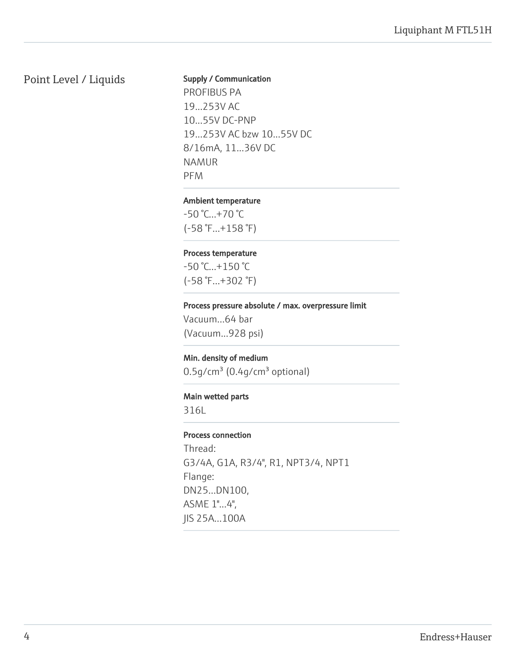## Point Level / Liquids

#### Supply / Communication

PROFIBUS PA 19...253V AC 10...55V DC-PNP 19...253V AC bzw 10...55V DC 8/16mA, 11...36V DC NAMUR PFM

#### Ambient temperature

-50 °C...+70 °C (-58 °F...+158 °F)

#### Process temperature

-50 °C...+150 °C (-58 °F...+302 °F)

#### Process pressure absolute / max. overpressure limit

Vacuum...64 bar (Vacuum...928 psi)

#### Min. density of medium

0.5g/cm<sup>3</sup> (0.4g/cm<sup>3</sup> optional)

#### Main wetted parts

316L

#### Process connection

Thread: G3/4A, G1A, R3/4", R1, NPT3/4, NPT1 Flange: DN25...DN100, ASME 1"...4", JIS 25A...100A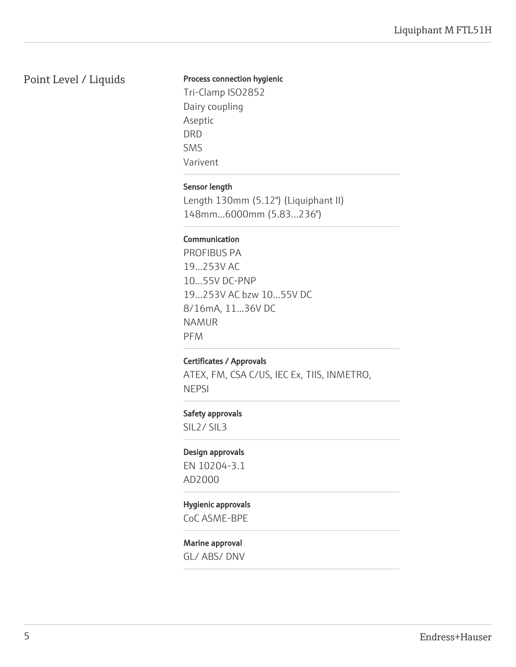## Point Level / Liquids

#### Process connection hygienic

Tri-Clamp ISO2852 Dairy coupling Aseptic DRD SMS Varivent

#### Sensor length

Length 130mm (5.12") (Liquiphant II) 148mm...6000mm (5.83...236")

#### Communication

PROFIBUS PA 19...253V AC 10...55V DC-PNP 19...253V AC bzw 10...55V DC 8/16mA, 11...36V DC NAMUR PFM

### Certificates / Approvals

ATEX, FM, CSA C/US, IEC Ex, TIIS, INMETRO, **NEPSI** 

#### Safety approvals

SIL2/ SIL3

#### Design approvals

EN 10204-3.1 AD2000

#### Hygienic approvals

CoC ASME-BPE

#### Marine approval

GL/ ABS/ DNV